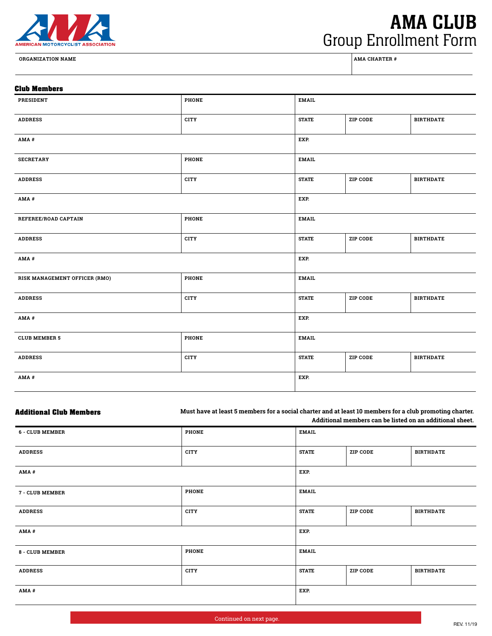

**ORGANIZATION NAME AMA CHARTER #**

## AMA CLUB Group Enrollment Form

## **Club Members PRESIDENT PHONE EMAIL ADDRESS CITY STATE ZIP CODE BIRTHDATE AMA # EXP. SECRETARY PHONE EMAIL ADDRESS CITY STATE ZIP CODE BIRTHDATE AMA # EXP. REFEREE/ROAD CAPTAIN PHONE PHONE EMAIL ADDRESS CITY STATE ZIP CODE BIRTHDATE AMA # EXP. RISK MANAGEMENT OFFICER (RMO) PHONE EMAIL ADDRESS CITY STATE ZIP CODE BIRTHDATE AMA # EXP. CLUB MEMBER 5 PHONE PHONE EMAIL ADDRESS CITY STATE ZIP CODE BIRTHDATE**

**AMA # EXP.**

| <b>Additional Club Members</b> | Must have at least 5 members for a social charter and at least 10 members for a club promoting charter.<br>Additional members can be listed on an additional sheet. |              |                 |                  |
|--------------------------------|---------------------------------------------------------------------------------------------------------------------------------------------------------------------|--------------|-----------------|------------------|
| <b>6 - CLUB MEMBER</b>         | <b>PHONE</b>                                                                                                                                                        | <b>EMAIL</b> |                 |                  |
| <b>ADDRESS</b>                 | <b>CITY</b>                                                                                                                                                         | <b>STATE</b> | <b>ZIP CODE</b> | <b>BIRTHDATE</b> |
| AMA#                           |                                                                                                                                                                     | EXP.         |                 |                  |
| 7 - CLUB MEMBER                | <b>PHONE</b>                                                                                                                                                        | <b>EMAIL</b> |                 |                  |
| <b>ADDRESS</b>                 | <b>CITY</b>                                                                                                                                                         | <b>STATE</b> | <b>ZIP CODE</b> | <b>BIRTHDATE</b> |
| AMA#                           |                                                                                                                                                                     | EXP.         |                 |                  |
| 8 - CLUB MEMBER                | <b>PHONE</b>                                                                                                                                                        | <b>EMAIL</b> |                 |                  |
| <b>ADDRESS</b>                 | <b>CITY</b>                                                                                                                                                         | <b>STATE</b> | <b>ZIP CODE</b> | <b>BIRTHDATE</b> |
| AMA#                           |                                                                                                                                                                     | EXP.         |                 |                  |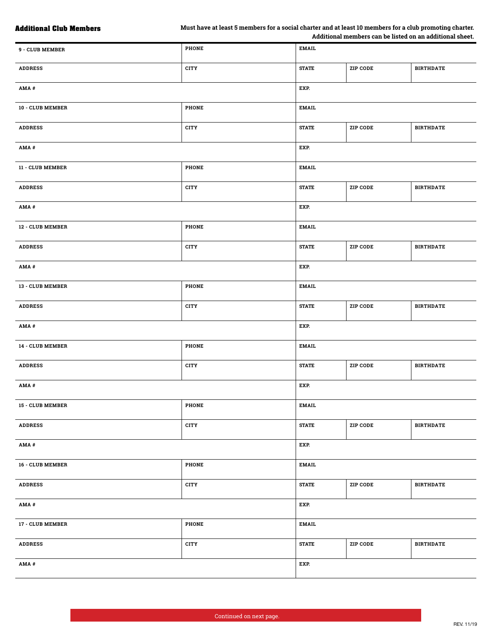| 9 - CLUB MEMBER  | <b>PHONE</b> | <b>EMAIL</b> |                 |                  |
|------------------|--------------|--------------|-----------------|------------------|
| <b>ADDRESS</b>   | <b>CITY</b>  | <b>STATE</b> | <b>ZIP CODE</b> | <b>BIRTHDATE</b> |
| AMA#             |              | EXP.         |                 |                  |
| 10 - CLUB MEMBER | PHONE        | <b>EMAIL</b> |                 |                  |
| <b>ADDRESS</b>   | <b>CITY</b>  | <b>STATE</b> | ZIP CODE        | <b>BIRTHDATE</b> |
| AMA#             |              | EXP.         |                 |                  |
| 11 - CLUB MEMBER | <b>PHONE</b> | <b>EMAIL</b> |                 |                  |
| <b>ADDRESS</b>   | <b>CITY</b>  | <b>STATE</b> | ZIP CODE        | <b>BIRTHDATE</b> |
| AMA#             |              | EXP.         |                 |                  |
| 12 - CLUB MEMBER | <b>PHONE</b> | <b>EMAIL</b> |                 |                  |
| <b>ADDRESS</b>   | <b>CITY</b>  | <b>STATE</b> | <b>ZIP CODE</b> | <b>BIRTHDATE</b> |
| AMA#             |              | EXP.         |                 |                  |
| 13 - CLUB MEMBER | <b>PHONE</b> | <b>EMAIL</b> |                 |                  |
| <b>ADDRESS</b>   | <b>CITY</b>  | <b>STATE</b> | ZIP CODE        | <b>BIRTHDATE</b> |
| AMA#             |              | EXP.         |                 |                  |
| 14 - CLUB MEMBER | <b>PHONE</b> | <b>EMAIL</b> |                 |                  |
| <b>ADDRESS</b>   | <b>CITY</b>  | <b>STATE</b> | <b>ZIP CODE</b> | <b>BIRTHDATE</b> |
| AMA#             |              | EXP.         |                 |                  |
| 15 - CLUB MEMBER | PHONE        | <b>EMAIL</b> |                 |                  |
| <b>ADDRESS</b>   | CITY         | <b>STATE</b> | ZIP CODE        | <b>BIRTHDATE</b> |
| AMA#             |              | EXP.         |                 |                  |
| 16 - CLUB MEMBER | <b>PHONE</b> | <b>EMAIL</b> |                 |                  |
| <b>ADDRESS</b>   | CITY         | <b>STATE</b> | ZIP CODE        | <b>BIRTHDATE</b> |
| AMA#             |              | EXP.         |                 |                  |
| 17 - CLUB MEMBER | <b>PHONE</b> | <b>EMAIL</b> |                 |                  |
| <b>ADDRESS</b>   | <b>CITY</b>  | <b>STATE</b> | <b>ZIP CODE</b> | <b>BIRTHDATE</b> |
| AMA#             |              | EXP.         |                 |                  |